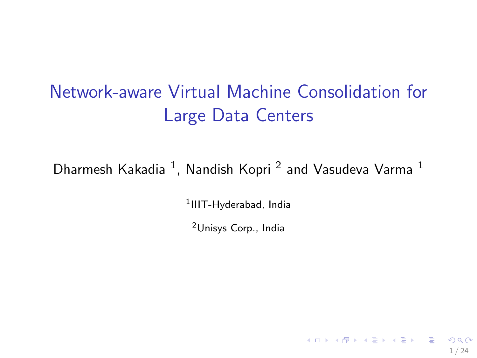# <span id="page-0-0"></span>Network-aware Virtual Machine Consolidation for Large Data Centers

 ${\sf D}$ harmesh Kakadia  $^1$ , Nandish Kopri  $^2$  and Vasudeva Varma  $^1$ 

1 IIIT-Hyderabad, India

<sup>2</sup>Unisys Corp., India

1 / 24

 $\mathbf{A} \equiv \mathbf{A} + \mathbf{A} + \mathbf{A} + \mathbf{A} + \mathbf{A} + \mathbf{A} + \mathbf{A} + \mathbf{A} + \mathbf{A} + \mathbf{A} + \mathbf{A} + \mathbf{A} + \mathbf{A} + \mathbf{A} + \mathbf{A} + \mathbf{A} + \mathbf{A} + \mathbf{A} + \mathbf{A} + \mathbf{A} + \mathbf{A} + \mathbf{A} + \mathbf{A} + \mathbf{A} + \mathbf{A} + \mathbf{A} + \mathbf{A} + \mathbf{A} + \mathbf{A} + \mathbf{A} + \math$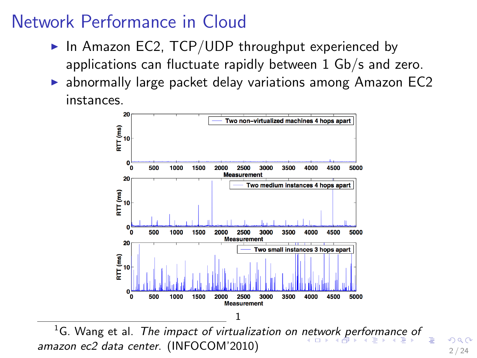# <span id="page-1-0"></span>Network Performance in Cloud

- In Amazon EC2, TCP/UDP throughput experienced by applications can fluctuate rapidly between 1 Gb/s and zero.
- $\triangleright$  abnormally large packet delay variations among Amazon EC2 instances.



<sup>1</sup>G. Wang et al. *The impact of virtualization on [net](#page-0-0)[wo](#page-2-0)[rk](#page-0-0) [p](#page-1-0)[er](#page-2-0)[for](#page-0-0)[ma](#page-33-0)[nc](#page-0-0)[e o](#page-33-0)[f](#page-0-0)* amazon ec2 data center. (INFOCOM'2010)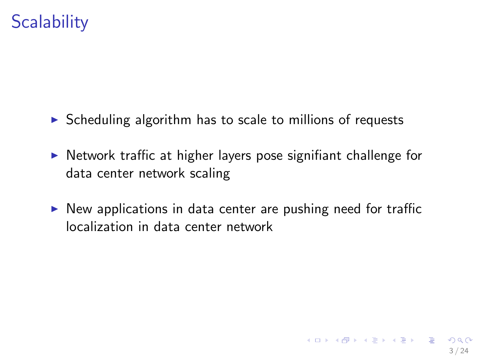# <span id="page-2-0"></span>**Scalability**

- $\triangleright$  Scheduling algorithm has to scale to millions of requests
- $\triangleright$  Network traffic at higher layers pose signifiant challenge for data center network scaling
- $\triangleright$  New applications in data center are pushing need for traffic localization in data center network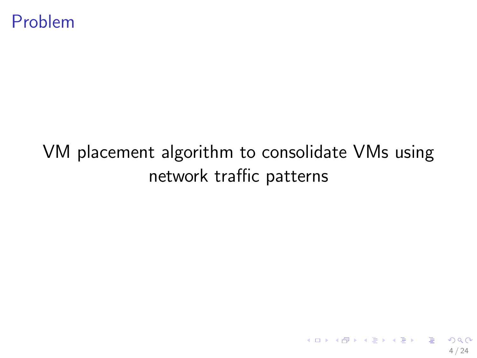# VM placement algorithm to consolidate VMs using network traffic patterns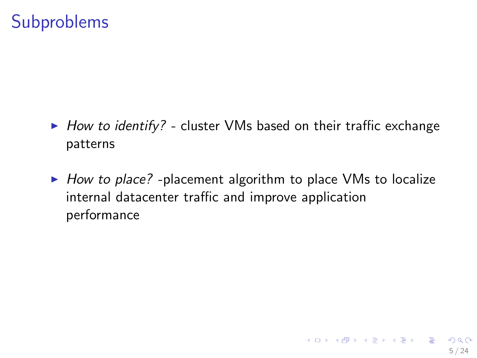#### **Subproblems**

- $\blacktriangleright$  How to identify? cluster VMs based on their traffic exchange patterns
- $\triangleright$  How to place? -placement algorithm to place VMs to localize internal datacenter traffic and improve application performance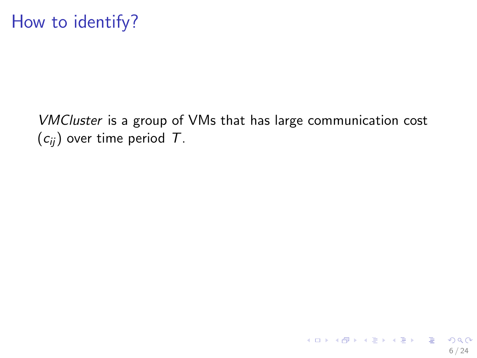VMCluster is a group of VMs that has large communication cost  $(c_{ii})$  over time period T.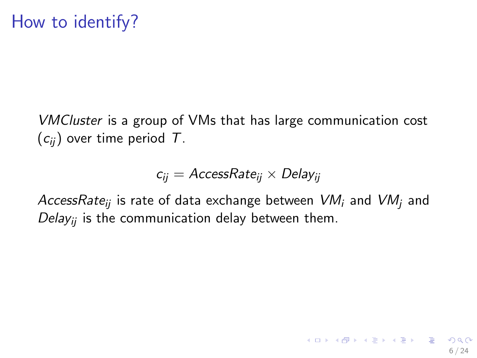VMCluster is a group of VMs that has large communication cost  $(c_{ii})$  over time period T.

 $c_{ii} = AccessRate_{ii} \times Delay_{ii}$ 

AccessRate<sub>ii</sub> is rate of data exchange between  $VM_i$  and  $VM_i$  and Delay<sub>ii</sub> is the communication delay between them.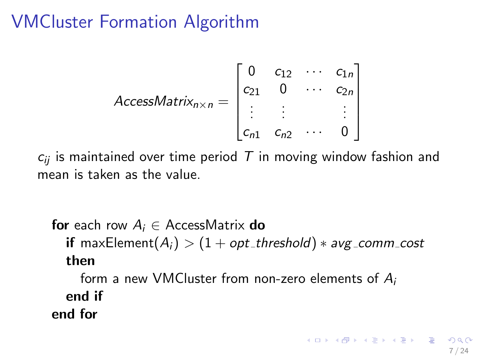# VMCluster Formation Algorithm

$$
AccessMatrix_{n\times n} = \begin{bmatrix} 0 & c_{12} & \cdots & c_{1n} \\ c_{21} & 0 & \cdots & c_{2n} \\ \vdots & \vdots & & \vdots \\ c_{n1} & c_{n2} & \cdots & 0 \end{bmatrix}
$$

 $c_{ij}$  is maintained over time period T in moving window fashion and mean is taken as the value.

```
for each row A_i \in AccessMatrix do
  if maxElement(A_i) > (1 + opt_threshold) * avg_comm_cost
  then
    form a new VMCluster from non-zero elements of A_iend if
end for
```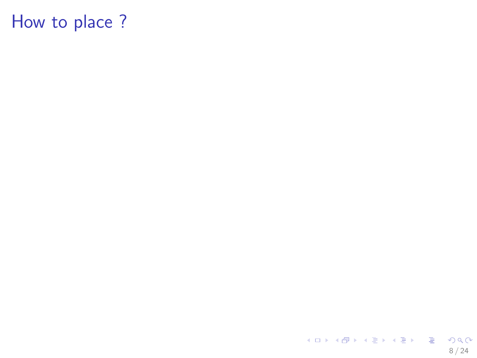K ロ > K 御 > K 聖 > K 聖 > 「聖 → の Q Q → 8 / 24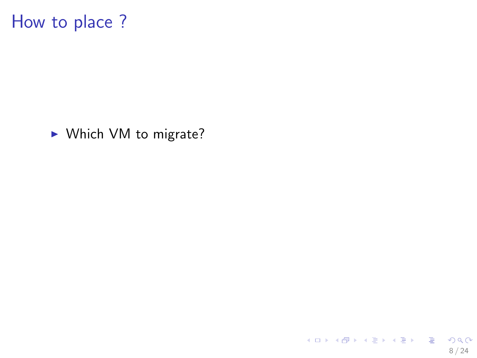▶ Which VM to migrate?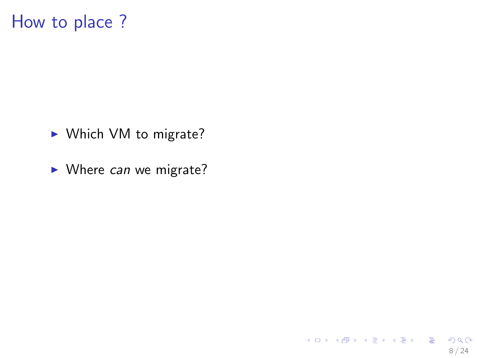- ▶ Which VM to migrate?
- $\blacktriangleright$  Where can we migrate?

8 / 24

K ロ ▶ K @ ▶ K 할 ▶ K 할 ▶ → 할 → 9 Q @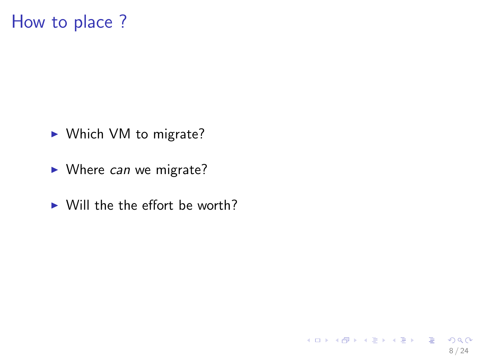- ▶ Which VM to migrate?
- $\blacktriangleright$  Where can we migrate?
- $\triangleright$  Will the the effort be worth?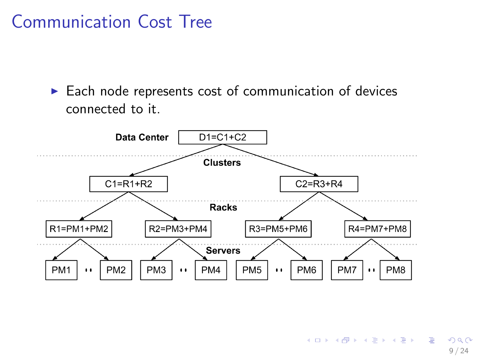Communication Cost Tree

 $\blacktriangleright$  Each node represents cost of communication of devices connected to it.

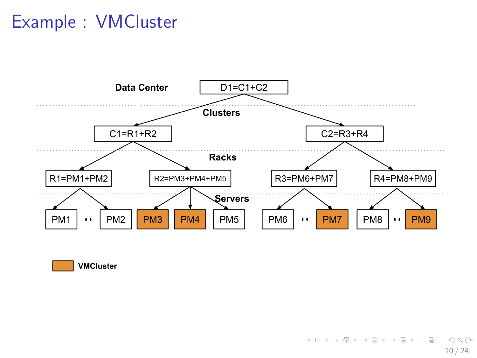# Example : VMCluster





K ロンス 御 > ス 할 > ス 할 > ( ) 할 >  $2990$ 10 / 24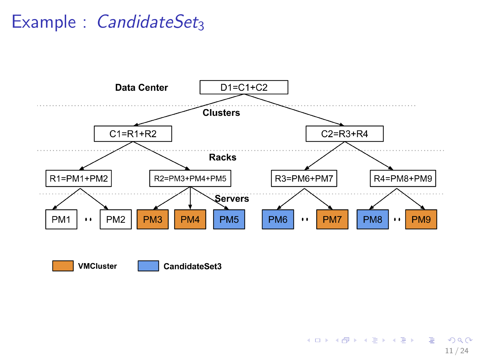# Example :  $C$ andidateSet<sub>3</sub>



イロト 不優 ト 不思 ト 不思 トー 温  $\eta$ are 11 / 24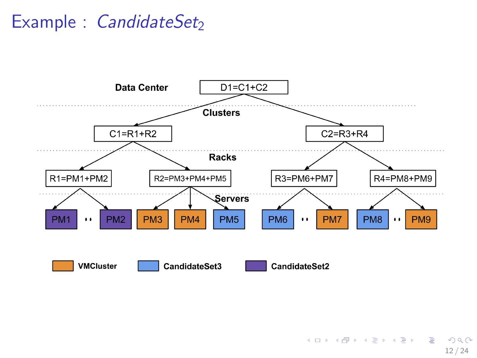# Example :  $C$ andidateSet<sub>2</sub>



K ロ ▶ K @ ▶ K 할 ▶ K 할 ▶ ( 할 ) 900 12 / 24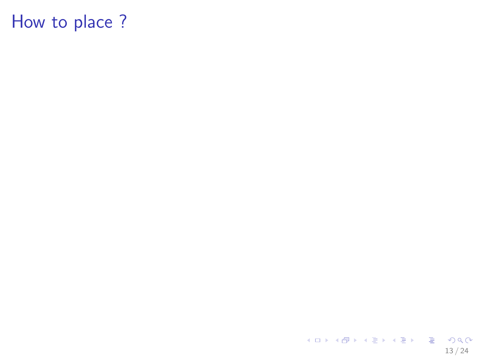K ロ > K 個 > K 差 > K 差 > → 差 → の Q Q → 13 / 24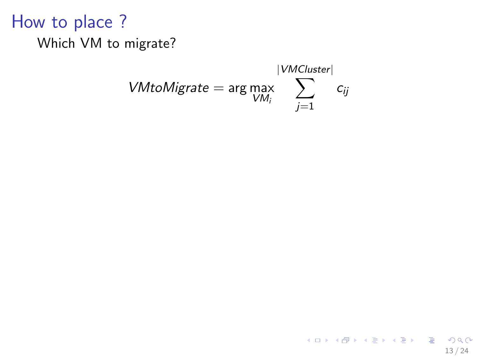#### Which VM to migrate?

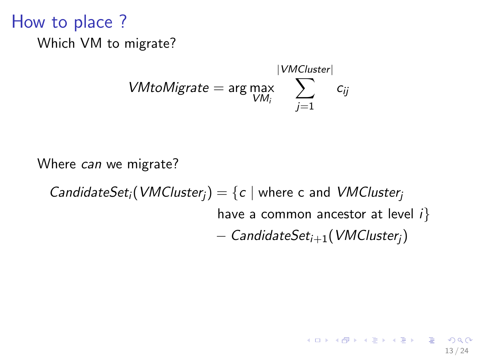How to place ? Which VM to migrate?

$$
VM to Migrate = \arg \max_{VM_i} \sum_{j=1}^{|VMCluster|} c_{ij}
$$

Where *can* we migrate?

CandidateSet<sub>i</sub>(VMCluster<sub>i</sub>) = {c | where c and VMCluster<sub>i</sub> have a common ancestor at level  $i$ } − CandidateSeti+1(VMClusterj)

13 / 24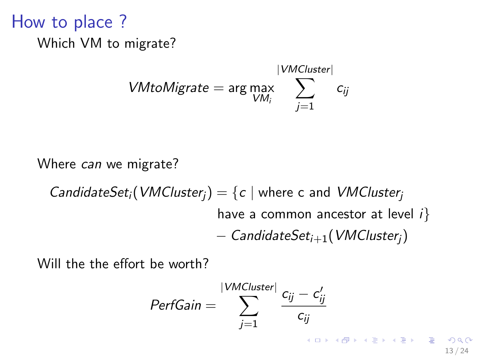How to place ? Which VM to migrate?

$$
VM to Migrate = \arg \max_{VM_i} \sum_{j=1}^{|VMCluster|} c_{ij}
$$

Where can we migrate?

CandidateSet<sub>i</sub>(VMCluster<sub>j</sub>) = {
$$
c \mid
$$
 where  $c$  and VMCluster<sub>j</sub>  
\nhave a common ancestor at level  $i$ }  
\n– CandidateSet<sub>i+1</sub>(VMCluster<sub>j</sub>)

Will the the effort be worth?

$$
PerfGain = \sum_{j=1}^{|VMCluster|} \frac{c_{ij} - c'_{ij}}{c_{ij}}
$$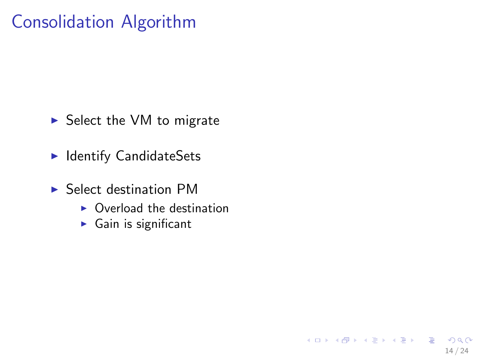# Consolidation Algorithm

- $\triangleright$  Select the VM to migrate
- $\blacktriangleright$  Identify CandidateSets
- $\blacktriangleright$  Select destination PM
	- $\triangleright$  Overload the destination

14 / 24

 $QQ$ 

K ロ X K @ X K 경 X X 경 X X 경

 $\blacktriangleright$  Gain is significant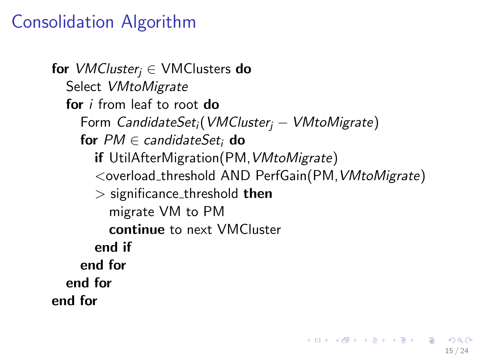# Consolidation Algorithm

for *VMCluster*<sub>i</sub>  $\in$  VMClusters do Select VMtoMigrate for *i* from leaf to root do Form CandidateSet<sub>i</sub>(VMCluster<sub>i</sub> – VMtoMigrate) for  $PM \in$  candidateSet; do if UtilAfterMigration(PM, VMtoMigrate) <overload threshold AND PerfGain(PM,VMtoMigrate)  $>$  significance threshold then migrate VM to PM continue to next VMCluster end if end for end for end for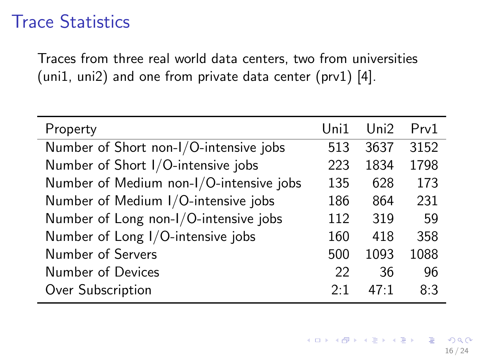## Trace Statistics

Traces from three real world data centers, two from universities (uni1, uni2) and one from private data center (prv1) [4].

| Property                                | Uni1 | Uni2 | Prv1 |
|-----------------------------------------|------|------|------|
| Number of Short non-I/O-intensive jobs  | 513  | 3637 | 3152 |
| Number of Short I/O-intensive jobs      | 223  | 1834 | 1798 |
| Number of Medium non-I/O-intensive jobs | 135  | 628  | 173  |
| Number of Medium I/O-intensive jobs     | 186  | 864  | 231  |
| Number of Long non-I/O-intensive jobs   | 112  | 319  | 59   |
| Number of Long I/O-intensive jobs       | 160  | 418  | 358  |
| Number of Servers                       | 500  | 1093 | 1088 |
| Number of Devices                       | 22   | 36   | 96   |
| Over Subscription                       | 2.1  | 47.1 | 8:3  |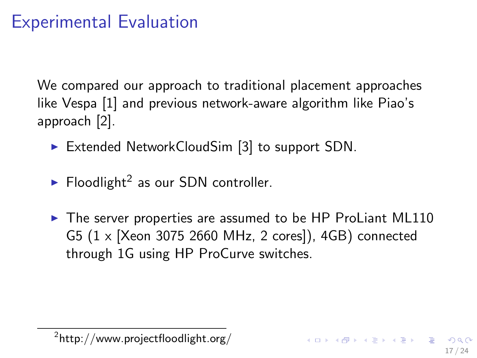# Experimental Evaluation

We compared our approach to traditional placement approaches like Vespa [1] and previous network-aware algorithm like Piao's approach [2].

- Extended NetworkCloudSim  $[3]$  to support SDN.
- $\blacktriangleright$  Floodlight<sup>2</sup> as our SDN controller.
- $\blacktriangleright$  The server properties are assumed to be HP ProLiant ML110 G5 (1 x [Xeon 3075 2660 MHz, 2 cores]), 4GB) connected through 1G using HP ProCurve switches.

 $^{2}$ http://www.projectfloodlight.org/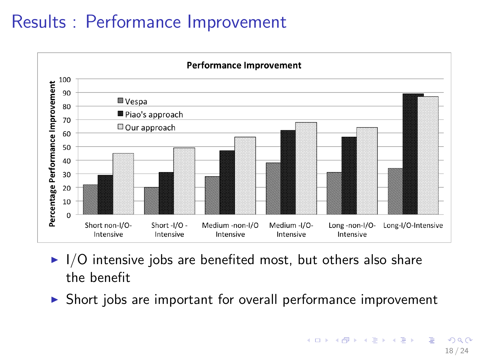# Results : Performance Improvement



- $\blacktriangleright$  I/O intensive jobs are benefited most, but others also share the benefit
- $\triangleright$  Short jobs are important for overall performance improvement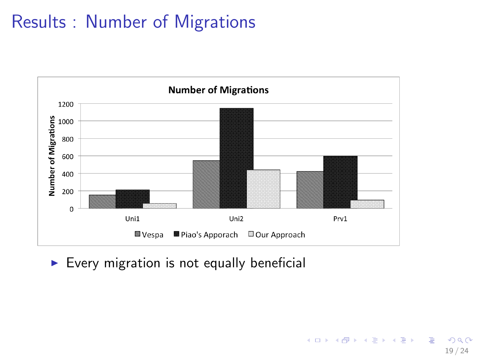# Results : Number of Migrations



 $\triangleright$  Every migration is not equally beneficial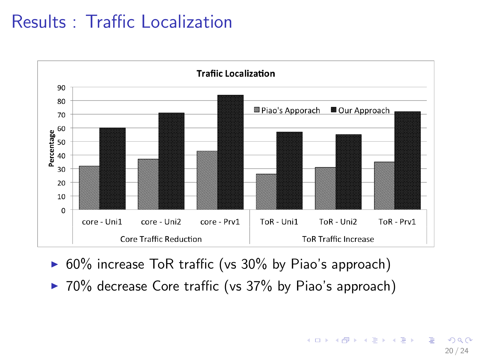# Results : Traffic Localization



- $\triangleright$  60% increase ToR traffic (vs 30% by Piao's approach)
- $\triangleright$  70% decrease Core traffic (vs 37% by Piao's approach)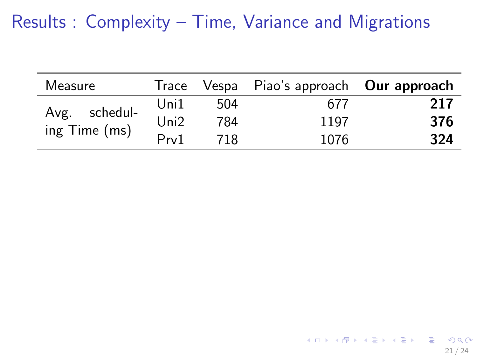| Measure       | Irace            |     | Vespa Piao's approach Our approach |     |
|---------------|------------------|-----|------------------------------------|-----|
| Avg. schedul- | Uni1             | 504 | 677                                | 217 |
|               | Uni <sub>2</sub> | 784 | 1197                               | 376 |
| ing Time (ms) | Prv1             | 718 | 1076                               | 324 |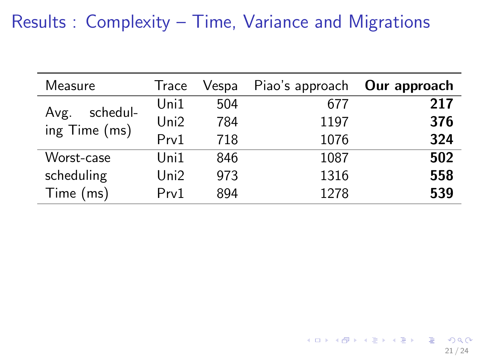| Measure       | Trace            | Vespa | Piao's approach | Our approach |
|---------------|------------------|-------|-----------------|--------------|
| schedul-      | Uni1             | 504   | 677             | 217          |
| Avg.          | Uni <sub>2</sub> | 784   | 1197            | 376          |
| ing Time (ms) | Prv1             | 718   | 1076            | 324          |
| Worst-case    | Uni1             | 846   | 1087            | 502          |
| scheduling    | Uni2             | 973   | 1316            | 558          |
| Time (ms)     | Prv1             | 894   | 1278            | 539          |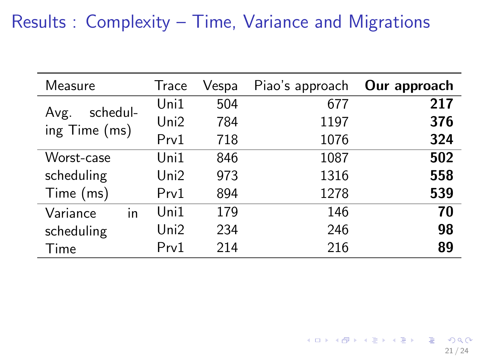| Measure          | Trace | Vespa | Piao's approach | Our approach |
|------------------|-------|-------|-----------------|--------------|
|                  | Uni1  | 504   | 677             | 217          |
| schedul-<br>Avg. | Uni2  | 784   | 1197            | 376          |
| ing Time (ms)    | Prv1  | 718   | 1076            | 324          |
| Worst-case       | Uni1  | 846   | 1087            | 502          |
| scheduling       | Uni2  | 973   | 1316            | 558          |
| Time (ms)        | Prv1  | 894   | 1278            | 539          |
| in<br>Variance   | Uni1  | 179   | 146             | 70           |
| scheduling       | Uni2  | 234   | 246             | 98           |
| Time             | Prv1  | 214   | 216             | 89           |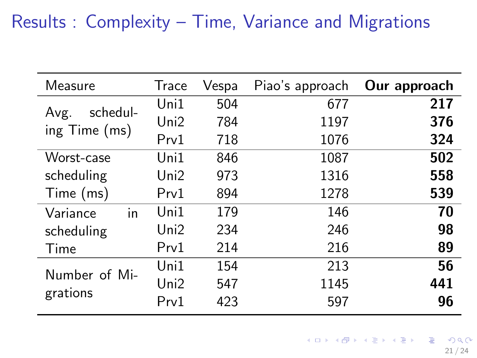| Measure          | <b>Trace</b> | Vespa | Piao's approach | Our approach |
|------------------|--------------|-------|-----------------|--------------|
|                  | Uni1         | 504   | 677             | 217          |
| schedul-<br>Avg. | Uni2         | 784   | 1197            | 376          |
| ing $Time (ms)$  | Prv1         | 718   | 1076            | 324          |
| Worst-case       | Uni1         | 846   | 1087            | 502          |
| scheduling       | Uni2         | 973   | 1316            | 558          |
| Time (ms)        | Prv1         | 894   | 1278            | 539          |
| in<br>Variance   | Uni1         | 179   | 146             | 70           |
| scheduling       | Uni2         | 234   | 246             | 98           |
| Time             | Prv1         | 214   | 216             | 89           |
| Number of Mi-    | Uni1         | 154   | 213             | 56           |
|                  | Uni2         | 547   | 1145            | 441          |
| grations         | Prv1         | 423   | 597             | 96           |

メロメ メ御き メミメ メミメ  $299$ B

21 / 24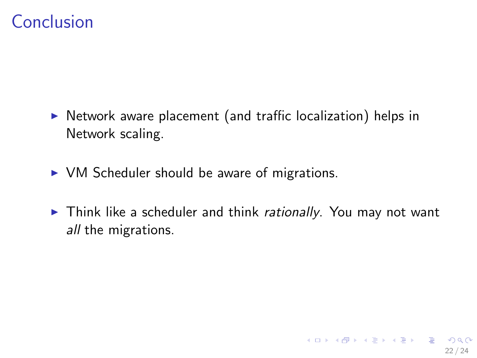# Conclusion

- $\triangleright$  Network aware placement (and traffic localization) helps in Network scaling.
- $\triangleright$  VM Scheduler should be aware of migrations.
- $\triangleright$  Think like a scheduler and think rationally. You may not want all the migrations.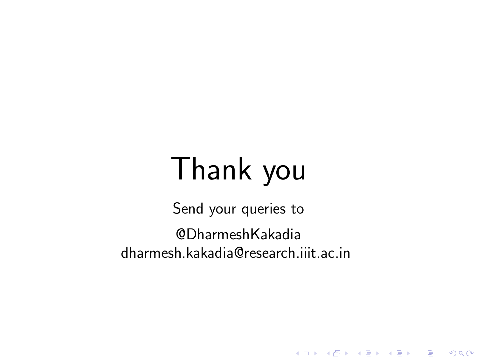# Thank you

Send your queries to @DharmeshKakadia dharmesh.kakadia@research.iiit.ac.in

メロト メ御 トメ 君 トメ 君 トッ 君 し

 $2990$